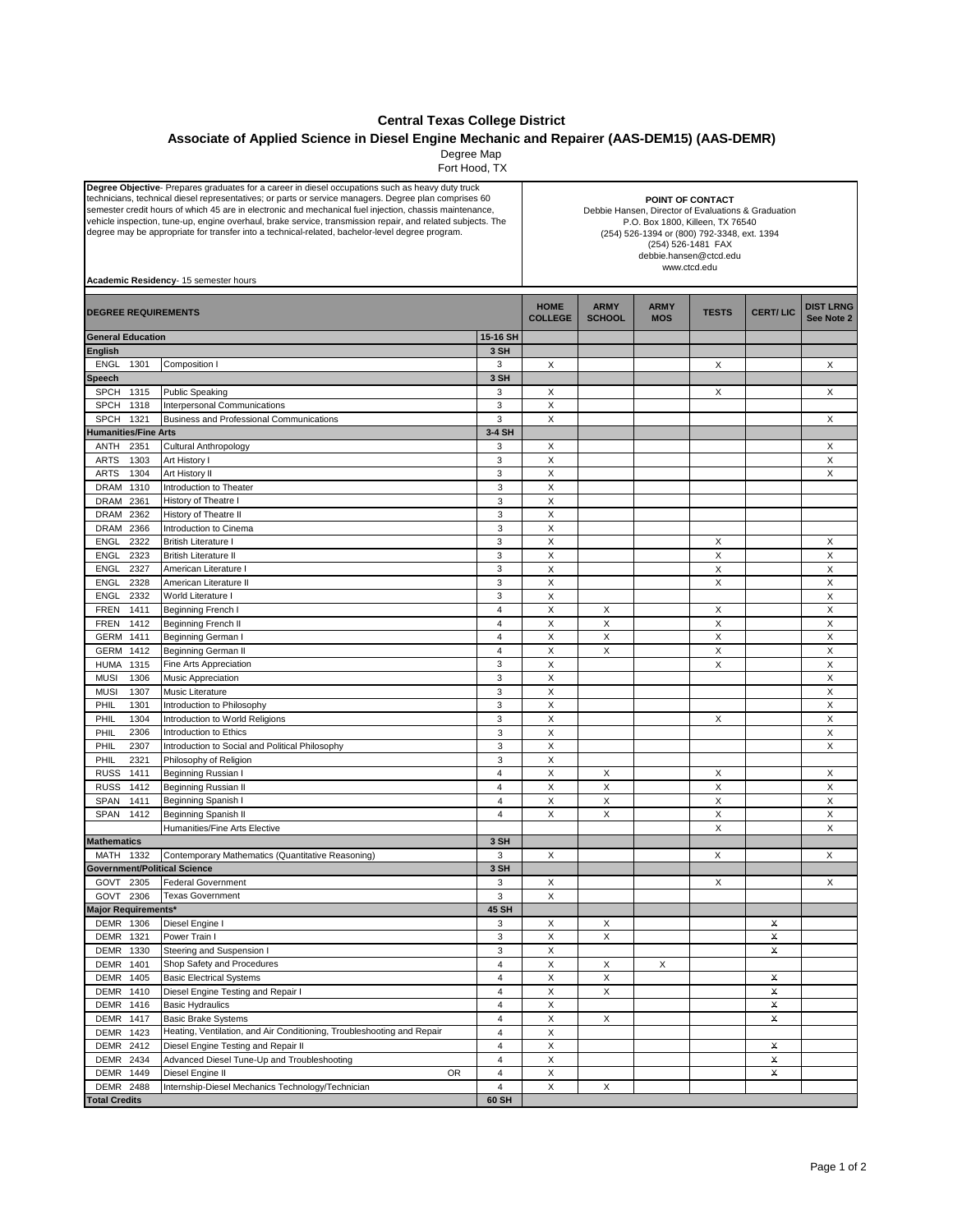## **Central Texas College District**

## **Associate of Applied Science in Diesel Engine Mechanic and Repairer (AAS-DEM15) (AAS-DEMR)**

Degree Map Fort Hood, TX

| <b>Degree Objective</b> - Prepares graduates for a career in diesel occupations such as heavy duty truck<br>technicians, technical diesel representatives; or parts or service managers. Degree plan comprises 60<br>semester credit hours of which 45 are in electronic and mechanical fuel injection, chassis maintenance,<br>vehicle inspection, tune-up, engine overhaul, brake service, transmission repair, and related subjects. The<br>degree may be appropriate for transfer into a technical-related, bachelor-level degree program.<br>Academic Residency- 15 semester hours |              |                                                                                    |                         | POINT OF CONTACT<br>Debbie Hansen, Director of Evaluations & Graduation<br>P.O. Box 1800, Killeen, TX 76540<br>(254) 526-1394 or (800) 792-3348, ext. 1394<br>(254) 526-1481 FAX<br>debbie.hansen@ctcd.edu<br>www.ctcd.edu |                              |                           |              |                 |                                |
|-----------------------------------------------------------------------------------------------------------------------------------------------------------------------------------------------------------------------------------------------------------------------------------------------------------------------------------------------------------------------------------------------------------------------------------------------------------------------------------------------------------------------------------------------------------------------------------------|--------------|------------------------------------------------------------------------------------|-------------------------|----------------------------------------------------------------------------------------------------------------------------------------------------------------------------------------------------------------------------|------------------------------|---------------------------|--------------|-----------------|--------------------------------|
| <b>DEGREE REQUIREMENTS</b>                                                                                                                                                                                                                                                                                                                                                                                                                                                                                                                                                              |              |                                                                                    |                         | <b>HOME</b><br><b>COLLEGE</b>                                                                                                                                                                                              | <b>ARMY</b><br><b>SCHOOL</b> | <b>ARMY</b><br><b>MOS</b> | <b>TESTS</b> | <b>CERT/LIC</b> | <b>DIST LRNG</b><br>See Note 2 |
| <b>General Education</b>                                                                                                                                                                                                                                                                                                                                                                                                                                                                                                                                                                |              |                                                                                    |                         |                                                                                                                                                                                                                            |                              |                           |              |                 |                                |
| <b>English</b>                                                                                                                                                                                                                                                                                                                                                                                                                                                                                                                                                                          |              |                                                                                    | 3 SH                    |                                                                                                                                                                                                                            |                              |                           |              |                 |                                |
| <b>ENGL</b>                                                                                                                                                                                                                                                                                                                                                                                                                                                                                                                                                                             | 1301         | Composition I                                                                      | 3                       | X                                                                                                                                                                                                                          |                              |                           | Χ            |                 | Х                              |
| Speech                                                                                                                                                                                                                                                                                                                                                                                                                                                                                                                                                                                  |              |                                                                                    | 3 SH                    |                                                                                                                                                                                                                            |                              |                           |              |                 |                                |
| <b>SPCH</b><br><b>SPCH</b>                                                                                                                                                                                                                                                                                                                                                                                                                                                                                                                                                              | 1315<br>1318 | <b>Public Speaking</b><br>Interpersonal Communications                             | 3<br>3                  | X<br>Χ                                                                                                                                                                                                                     |                              |                           | X            |                 | X                              |
| <b>SPCH</b>                                                                                                                                                                                                                                                                                                                                                                                                                                                                                                                                                                             | 1321         | <b>Business and Professional Communications</b>                                    | 3                       | X                                                                                                                                                                                                                          |                              |                           |              |                 | X                              |
| <b>Humanities/Fine Arts</b>                                                                                                                                                                                                                                                                                                                                                                                                                                                                                                                                                             |              |                                                                                    | 3-4 SH                  |                                                                                                                                                                                                                            |                              |                           |              |                 |                                |
| ANTH                                                                                                                                                                                                                                                                                                                                                                                                                                                                                                                                                                                    | 2351         | Cultural Anthropology                                                              | 3                       | X                                                                                                                                                                                                                          |                              |                           |              |                 | X                              |
| ARTS                                                                                                                                                                                                                                                                                                                                                                                                                                                                                                                                                                                    | 1303         | Art History I                                                                      | 3                       | X                                                                                                                                                                                                                          |                              |                           |              |                 | х                              |
| ARTS                                                                                                                                                                                                                                                                                                                                                                                                                                                                                                                                                                                    | 1304         | Art History II                                                                     | 3                       | X                                                                                                                                                                                                                          |                              |                           |              |                 | X                              |
| DRAM                                                                                                                                                                                                                                                                                                                                                                                                                                                                                                                                                                                    | 1310         | Introduction to Theater                                                            | 3                       | X                                                                                                                                                                                                                          |                              |                           |              |                 |                                |
| <b>DRAM</b>                                                                                                                                                                                                                                                                                                                                                                                                                                                                                                                                                                             | 2361         | History of Theatre I                                                               | 3                       | X                                                                                                                                                                                                                          |                              |                           |              |                 |                                |
| <b>DRAM</b>                                                                                                                                                                                                                                                                                                                                                                                                                                                                                                                                                                             | 2362         | History of Theatre II                                                              | 3                       | X                                                                                                                                                                                                                          |                              |                           |              |                 |                                |
| <b>DRAM</b>                                                                                                                                                                                                                                                                                                                                                                                                                                                                                                                                                                             | 2366         | Introduction to Cinema                                                             | 3                       | $\mathsf X$                                                                                                                                                                                                                |                              |                           |              |                 |                                |
| <b>ENGL</b>                                                                                                                                                                                                                                                                                                                                                                                                                                                                                                                                                                             | 2322<br>2323 | <b>British Literature I</b>                                                        | 3<br>3                  | X<br>X                                                                                                                                                                                                                     |                              |                           | X            |                 | Χ                              |
| <b>ENGL</b><br><b>ENGL</b>                                                                                                                                                                                                                                                                                                                                                                                                                                                                                                                                                              | 2327         | <b>British Literature II</b><br>American Literature I                              | 3                       | X                                                                                                                                                                                                                          |                              |                           | X<br>X       |                 | X<br>X                         |
| <b>ENGL</b>                                                                                                                                                                                                                                                                                                                                                                                                                                                                                                                                                                             | 2328         | American Literature II                                                             | 3                       | X                                                                                                                                                                                                                          |                              |                           | X            |                 | X                              |
| ENGL                                                                                                                                                                                                                                                                                                                                                                                                                                                                                                                                                                                    | 2332         | World Literature I                                                                 | 3                       | X                                                                                                                                                                                                                          |                              |                           |              |                 | X                              |
| <b>FREN</b>                                                                                                                                                                                                                                                                                                                                                                                                                                                                                                                                                                             | 1411         | <b>Beginning French I</b>                                                          | 4                       | X                                                                                                                                                                                                                          | Х                            |                           | Χ            |                 | X                              |
| FREN                                                                                                                                                                                                                                                                                                                                                                                                                                                                                                                                                                                    | 1412         | Beginning French II                                                                | 4                       | X                                                                                                                                                                                                                          | X                            |                           | Χ            |                 | X                              |
| <b>GERM</b>                                                                                                                                                                                                                                                                                                                                                                                                                                                                                                                                                                             | 1411         | Beginning German I                                                                 | 4                       | X                                                                                                                                                                                                                          | X                            |                           | X            |                 | X                              |
| GERM                                                                                                                                                                                                                                                                                                                                                                                                                                                                                                                                                                                    | 1412         | <b>Beginning German II</b>                                                         | $\overline{\mathbf{4}}$ | X                                                                                                                                                                                                                          | X                            |                           | X            |                 | X                              |
| <b>HUMA</b>                                                                                                                                                                                                                                                                                                                                                                                                                                                                                                                                                                             | 1315         | Fine Arts Appreciation                                                             | 3                       | X                                                                                                                                                                                                                          |                              |                           | X            |                 | X                              |
| <b>MUSI</b>                                                                                                                                                                                                                                                                                                                                                                                                                                                                                                                                                                             | 1306         | <b>Music Appreciation</b>                                                          | 3                       | X                                                                                                                                                                                                                          |                              |                           |              |                 | X                              |
| <b>MUSI</b>                                                                                                                                                                                                                                                                                                                                                                                                                                                                                                                                                                             | 1307         | Music Literature                                                                   | 3                       | X                                                                                                                                                                                                                          |                              |                           |              |                 | X                              |
| PHIL                                                                                                                                                                                                                                                                                                                                                                                                                                                                                                                                                                                    | 1301         | Introduction to Philosophy                                                         | 3                       | $\mathsf X$                                                                                                                                                                                                                |                              |                           |              |                 | X                              |
| PHIL<br>PHIL                                                                                                                                                                                                                                                                                                                                                                                                                                                                                                                                                                            | 1304<br>2306 | Introduction to World Religions<br>Introduction to Ethics                          | 3<br>3                  | X<br>X                                                                                                                                                                                                                     |                              |                           | Х            |                 | Χ<br>X                         |
| PHIL                                                                                                                                                                                                                                                                                                                                                                                                                                                                                                                                                                                    | 2307         | Introduction to Social and Political Philosophy                                    | 3                       | X                                                                                                                                                                                                                          |                              |                           |              |                 | X                              |
| PHIL                                                                                                                                                                                                                                                                                                                                                                                                                                                                                                                                                                                    | 2321         | Philosophy of Religion                                                             | 3                       | X                                                                                                                                                                                                                          |                              |                           |              |                 |                                |
| <b>RUSS</b>                                                                                                                                                                                                                                                                                                                                                                                                                                                                                                                                                                             | 1411         | Beginning Russian I                                                                | $\overline{\mathbf{4}}$ | X                                                                                                                                                                                                                          | X                            |                           | Х            |                 | X                              |
| <b>RUSS</b>                                                                                                                                                                                                                                                                                                                                                                                                                                                                                                                                                                             | 1412         | Beginning Russian II                                                               | 4                       | X                                                                                                                                                                                                                          | X                            |                           | X            |                 | X                              |
| SPAN                                                                                                                                                                                                                                                                                                                                                                                                                                                                                                                                                                                    | 1411         | Beginning Spanish I                                                                | $\overline{4}$          | X                                                                                                                                                                                                                          | X                            |                           | Χ            |                 | X                              |
| <b>SPAN</b>                                                                                                                                                                                                                                                                                                                                                                                                                                                                                                                                                                             | 1412         | Beginning Spanish II                                                               | 4                       | X                                                                                                                                                                                                                          | X                            |                           | X            |                 | X                              |
|                                                                                                                                                                                                                                                                                                                                                                                                                                                                                                                                                                                         |              | Humanities/Fine Arts Elective                                                      |                         |                                                                                                                                                                                                                            |                              |                           | X            |                 | X                              |
| <b>Mathematics</b>                                                                                                                                                                                                                                                                                                                                                                                                                                                                                                                                                                      |              |                                                                                    | 3 SH                    |                                                                                                                                                                                                                            |                              |                           |              |                 |                                |
| MATH                                                                                                                                                                                                                                                                                                                                                                                                                                                                                                                                                                                    | 1332         | Contemporary Mathematics (Quantitative Reasoning)                                  | 3                       | X                                                                                                                                                                                                                          |                              |                           | X            |                 | Χ                              |
|                                                                                                                                                                                                                                                                                                                                                                                                                                                                                                                                                                                         |              | <b>Government/Political Science</b><br>GOVT 2305 Federal Government                | 3 SH<br>3               | X                                                                                                                                                                                                                          |                              |                           | X            |                 | X.                             |
| GOVT 2306                                                                                                                                                                                                                                                                                                                                                                                                                                                                                                                                                                               |              | <b>Texas Government</b>                                                            | 3                       | X                                                                                                                                                                                                                          |                              |                           |              |                 |                                |
| Major Requirements*                                                                                                                                                                                                                                                                                                                                                                                                                                                                                                                                                                     |              |                                                                                    | 45 SH                   |                                                                                                                                                                                                                            |                              |                           |              |                 |                                |
| DEMR 1306                                                                                                                                                                                                                                                                                                                                                                                                                                                                                                                                                                               |              | Diesel Engine I                                                                    | 3                       | X                                                                                                                                                                                                                          | Х                            |                           |              | X               |                                |
| DEMR 1321                                                                                                                                                                                                                                                                                                                                                                                                                                                                                                                                                                               |              | Power Train I                                                                      | 3                       | X                                                                                                                                                                                                                          | X                            |                           |              | x               |                                |
| <b>DEMR</b>                                                                                                                                                                                                                                                                                                                                                                                                                                                                                                                                                                             | 1330         | Steering and Suspension I                                                          | 3                       | Χ                                                                                                                                                                                                                          |                              |                           |              | X               |                                |
| DEMR                                                                                                                                                                                                                                                                                                                                                                                                                                                                                                                                                                                    | 1401         | Shop Safety and Procedures                                                         | 4                       | $\mathsf X$                                                                                                                                                                                                                | X                            | Х                         |              |                 |                                |
| DEMR 1405                                                                                                                                                                                                                                                                                                                                                                                                                                                                                                                                                                               |              | <b>Basic Electrical Systems</b>                                                    | 4                       | X                                                                                                                                                                                                                          | Х                            |                           |              | X               |                                |
| DEMR                                                                                                                                                                                                                                                                                                                                                                                                                                                                                                                                                                                    | 1410         | Diesel Engine Testing and Repair I                                                 | 4                       | X                                                                                                                                                                                                                          | X                            |                           |              | x               |                                |
| DEMR 1416                                                                                                                                                                                                                                                                                                                                                                                                                                                                                                                                                                               |              | <b>Basic Hydraulics</b>                                                            | 4                       | X                                                                                                                                                                                                                          |                              |                           |              | x               |                                |
| <b>DEMR 1417</b>                                                                                                                                                                                                                                                                                                                                                                                                                                                                                                                                                                        |              | <b>Basic Brake Systems</b>                                                         | 4                       | X                                                                                                                                                                                                                          | X                            |                           |              | X               |                                |
| DEMR<br>DEMR                                                                                                                                                                                                                                                                                                                                                                                                                                                                                                                                                                            | 1423         | Heating, Ventilation, and Air Conditioning, Troubleshooting and Repair             | 4<br>4                  | X<br>X                                                                                                                                                                                                                     |                              |                           |              |                 |                                |
| DEMR                                                                                                                                                                                                                                                                                                                                                                                                                                                                                                                                                                                    | 2412<br>2434 | Diesel Engine Testing and Repair II<br>Advanced Diesel Tune-Up and Troubleshooting | $\overline{\mathbf{4}}$ | X                                                                                                                                                                                                                          |                              |                           |              | X<br>X          |                                |
| DEMR 1449                                                                                                                                                                                                                                                                                                                                                                                                                                                                                                                                                                               |              | Diesel Engine II<br>0R                                                             | 4                       | X                                                                                                                                                                                                                          |                              |                           |              | X               |                                |
| DEMR 2488                                                                                                                                                                                                                                                                                                                                                                                                                                                                                                                                                                               |              | Internship-Diesel Mechanics Technology/Technician                                  | $\overline{4}$          | X                                                                                                                                                                                                                          | X                            |                           |              |                 |                                |
| <b>Total Credits</b>                                                                                                                                                                                                                                                                                                                                                                                                                                                                                                                                                                    |              |                                                                                    | 60 SH                   |                                                                                                                                                                                                                            |                              |                           |              |                 |                                |